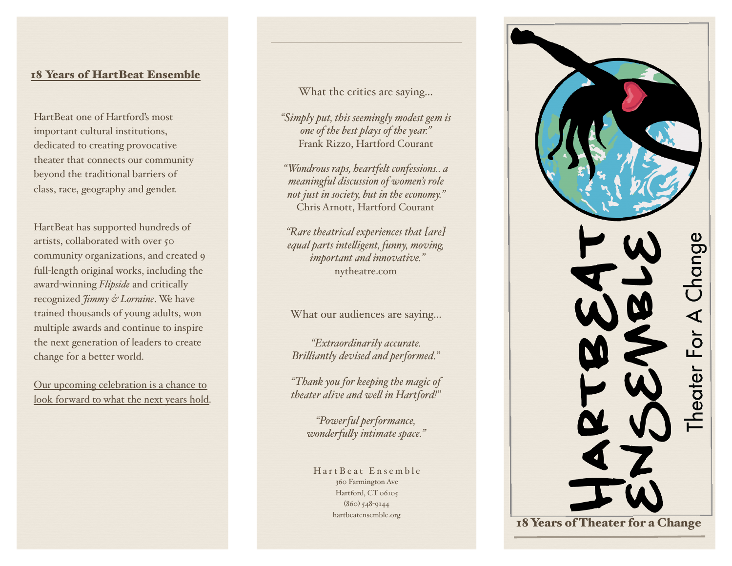### 18 Years of HartBeat Ensemble

HartBeat one of Hartford's most important cultural institutions, dedicated to creating provocative theater that connects our community beyond the traditional barriers of class, race, geography and gender.

HartBeat has supported hundreds of artists, collaborated with over 50 community organizations, and created 9 full-length original works, including the award-winning *Flipside* and critically recognized *Jimmy & Lorraine*. We have trained thousands of young adults, won multiple awards and continue to inspire the next generation of leaders to create change for a better world.

Our upcoming celebration is a chance to look forward to what the next years hold. What the critics are saying…

*"Simply put, this seemingly modest gem is one of the best plays of the year."* Frank Rizzo, Hartford Courant

*"Wondrous raps, heartfelt confessions.. a meaningful discussion of women's role not just in society, but in the economy."*  Chris Arnott, Hartford Courant

*"Rare theatrical experiences that [are] equal parts inteligent, funny, moving, important and innovative."*  nytheatre.com

What our audiences are saying…

*"Extraordinarily accurate. Briliantly devised and performed."*

*"Thank you for keeping the magic of theater alive and wel in Hartford!"*

> *"Powerful performance, wonderfuly intimate space."*

HartBeat Ensemble 360 Farmington Ave Hartford, CT 06105 (860) 548-9144 [hartbeatensemble.org](http://www.hartbeatensemble.org)